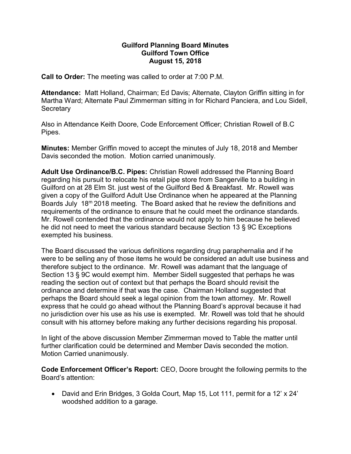## Guilford Planning Board Minutes Guilford Town Office August 15, 2018

Call to Order: The meeting was called to order at 7:00 P.M.

Attendance: Matt Holland, Chairman; Ed Davis; Alternate, Clayton Griffin sitting in for Martha Ward; Alternate Paul Zimmerman sitting in for Richard Panciera, and Lou Sidell, **Secretary** 

Also in Attendance Keith Doore, Code Enforcement Officer; Christian Rowell of B.C Pipes.

Minutes: Member Griffin moved to accept the minutes of July 18, 2018 and Member Davis seconded the motion. Motion carried unanimously.

Adult Use Ordinance/B.C. Pipes: Christian Rowell addressed the Planning Board regarding his pursuit to relocate his retail pipe store from Sangerville to a building in Guilford on at 28 Elm St. just west of the Guilford Bed & Breakfast. Mr. Rowell was given a copy of the Guilford Adult Use Ordinance when he appeared at the Planning Boards July 18<sup>m</sup> 2018 meeting. The Board asked that he review the definitions and requirements of the ordinance to ensure that he could meet the ordinance standards. Mr. Rowell contended that the ordinance would not apply to him because he believed he did not need to meet the various standard because Section 13 § 9C Exceptions exempted his business.

The Board discussed the various definitions regarding drug paraphernalia and if he were to be selling any of those items he would be considered an adult use business and therefore subject to the ordinance. Mr. Rowell was adamant that the language of Section 13 § 9C would exempt him. Member Sidell suggested that perhaps he was reading the section out of context but that perhaps the Board should revisit the ordinance and determine if that was the case. Chairman Holland suggested that perhaps the Board should seek a legal opinion from the town attorney. Mr. Rowell express that he could go ahead without the Planning Board's approval because it had no jurisdiction over his use as his use is exempted. Mr. Rowell was told that he should consult with his attorney before making any further decisions regarding his proposal.

In light of the above discussion Member Zimmerman moved to Table the matter until further clarification could be determined and Member Davis seconded the motion. Motion Carried unanimously.

Code Enforcement Officer's Report: CEO, Doore brought the following permits to the Board's attention:

 David and Erin Bridges, 3 Golda Court, Map 15, Lot 111, permit for a 12' x 24' woodshed addition to a garage.